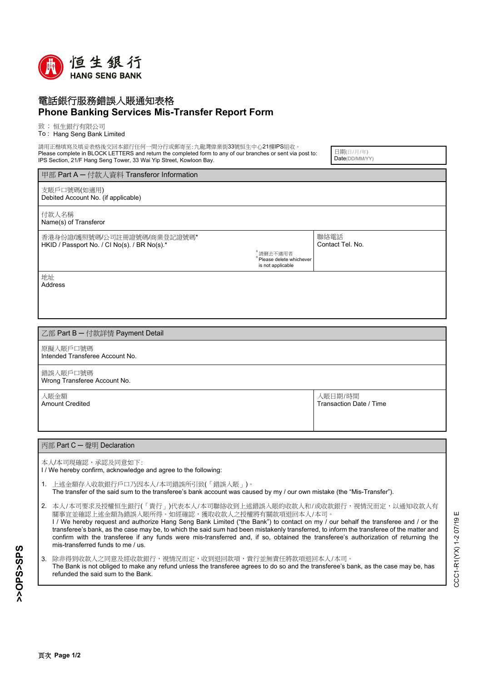

## 電話銀行服務錯誤入賬通知表格 **Phone Banking Services Mis-Transfer Report Form**

致 : 恒生銀行有限公司

To : Hang Seng Bank Limited

請用正楷填寫及填妥表格後交回本銀行任何一間分行或郵寄至:九龍灣偉業街33號恒生中心21樓IPS組收。 Please complete in BLOCK LETTERS and return the completed form to any of our branches or sent via post to: IPS Section, 21/F Hang Seng Tower, 33 Wai Yip Street, Kowloon Bay.

日期(日/月/年) Date(DD/MM/YY)

甲部 Part A ─ 付款人資料 Transferor Information

支賬戶口號碼(如適用) Debited Account No. (if applicable)

付款人名稱 Name(s) of Transferor

香港身份證/護照號碼/公司註冊證號碼/商業登記證號碼\* HKID / Passport No. / CI No(s). / BR No(s).'

| * 請刪去不適用者                         |
|-----------------------------------|
| Please delete whichever<br>$\ast$ |
| is not applicable                 |

聯絡電話 Contact Tel. No.

地址 Address

## 乙部 Part B ─ 付款詳情 Payment Detail

原擬入賬戶口號碼 Intended Transferee Account No.

錯誤入賬戶口號碼 Wrong Transferee Account No.

入賬金額 Amount Credited

入賬日期/時間 Transaction Date / Time

CCC1-R1(YX) 1-2 07/19 E

CCC1-R1(YX) 1-2 07/19 E

## 丙部 Part C ─ 聲明 Declaration

本人/本司現確認,承認及同意如下:

I / We hereby confirm, acknowledge and agree to the following:

- 1. 上述金額存入收款銀行戶口乃因本人/本司錯誤所引致(「錯誤入賬」)。 The transfer of the said sum to the transferee's bank account was caused by my / our own mistake (the "Mis-Transfer").
- 本人/本司要求及授權恒生銀行(「貴行」)代表本人/本司聯絡收到上述錯誤入賬的收款人和/或收款銀行,視情況而定,以通知收款人有 關事宜並確認上述金額為錯誤入賬所得。如經確認,獲取收款人之授權將有關款項退回本人/本司。 I / We hereby request and authorize Hang Seng Bank Limited ("the Bank") to contact on my / our behalf the transferee and / or the transferee's bank, as the case may be, to which the said sum had been mistakenly transferred, to inform the transferee of the matter and confirm with the transferee if any funds were mis-transferred and, if so, obtained the transferee's authorization of returning the mis-transferred funds to me / us. 2.
- 除非得到收款人之同意及經收款銀行,視情況而定,收到退回款項,貴行並無責任將款項退回本人/本司。 The Bank is not obliged to make any refund unless the transferee agrees to do so and the transferee's bank, as the case may be, has refunded the said sum to the Bank. 3.